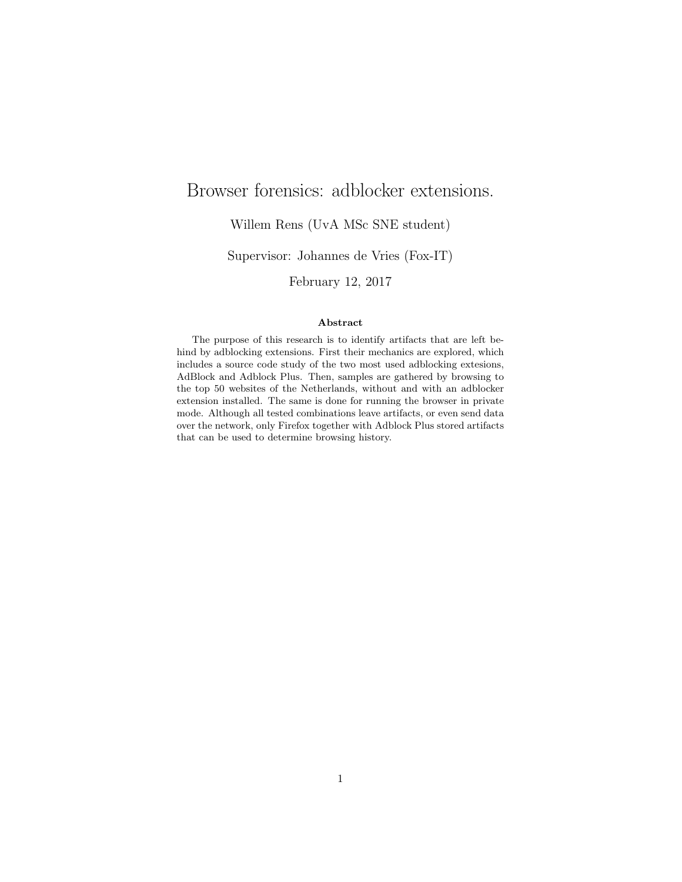# Browser forensics: adblocker extensions.

#### Willem Rens (UvA MSc SNE student)

Supervisor: Johannes de Vries (Fox-IT)

February 12, 2017

#### Abstract

The purpose of this research is to identify artifacts that are left behind by adblocking extensions. First their mechanics are explored, which includes a source code study of the two most used adblocking extesions, AdBlock and Adblock Plus. Then, samples are gathered by browsing to the top 50 websites of the Netherlands, without and with an adblocker extension installed. The same is done for running the browser in private mode. Although all tested combinations leave artifacts, or even send data over the network, only Firefox together with Adblock Plus stored artifacts that can be used to determine browsing history.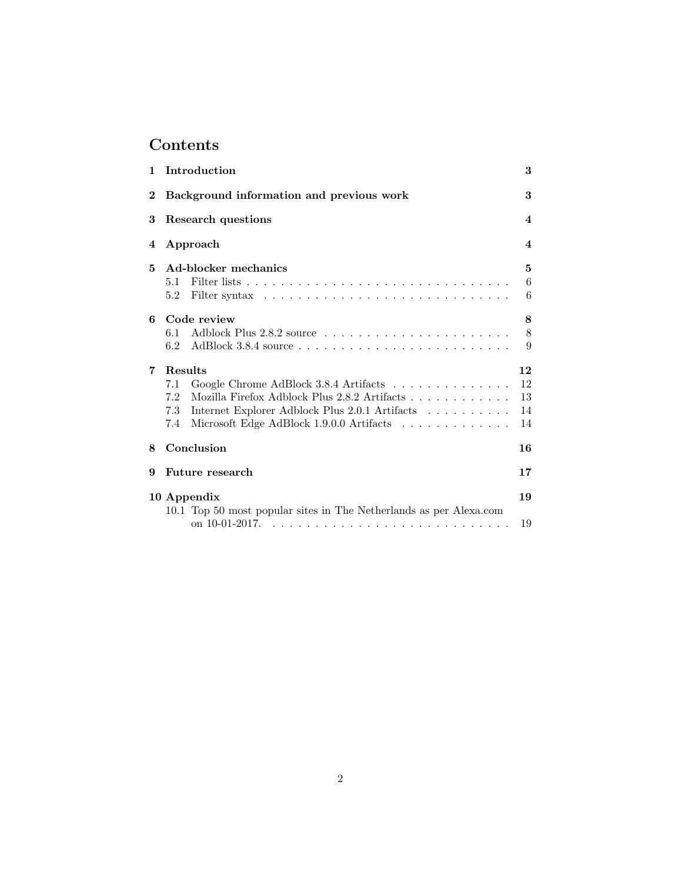# Contents

| $\mathbf{1}$ | Introduction                                                                                                                                                                                                               | 3                          |
|--------------|----------------------------------------------------------------------------------------------------------------------------------------------------------------------------------------------------------------------------|----------------------------|
| $\mathbf 2$  | Background information and previous work                                                                                                                                                                                   | 3                          |
| 3            | Research questions                                                                                                                                                                                                         | $\overline{\mathbf{4}}$    |
| 4            | Approach                                                                                                                                                                                                                   | $\overline{\mathbf{4}}$    |
| 5            | Ad-blocker mechanics<br>5.1<br>5.2                                                                                                                                                                                         | 5<br>6<br>6                |
| 6            | Code review<br>6.1<br>6.2                                                                                                                                                                                                  | 8<br>8<br>9                |
| 7            | Results<br>Google Chrome AdBlock 3.8.4 Artifacts<br>7.1<br>Mozilla Firefox Adblock Plus 2.8.2 Artifacts<br>7.2<br>Internet Explorer Adblock Plus 2.0.1 Artifacts<br>7.3<br>Microsoft Edge AdBlock 1.9.0.0 Artifacts<br>7.4 | 12<br>12<br>13<br>14<br>14 |
| 8            | Conclusion                                                                                                                                                                                                                 | 16                         |
| 9            | Future research                                                                                                                                                                                                            | 17                         |
|              | 10 Appendix                                                                                                                                                                                                                | 19                         |
|              | 10.1 Top 50 most popular sites in The Netherlands as per Alexa.com                                                                                                                                                         | 19                         |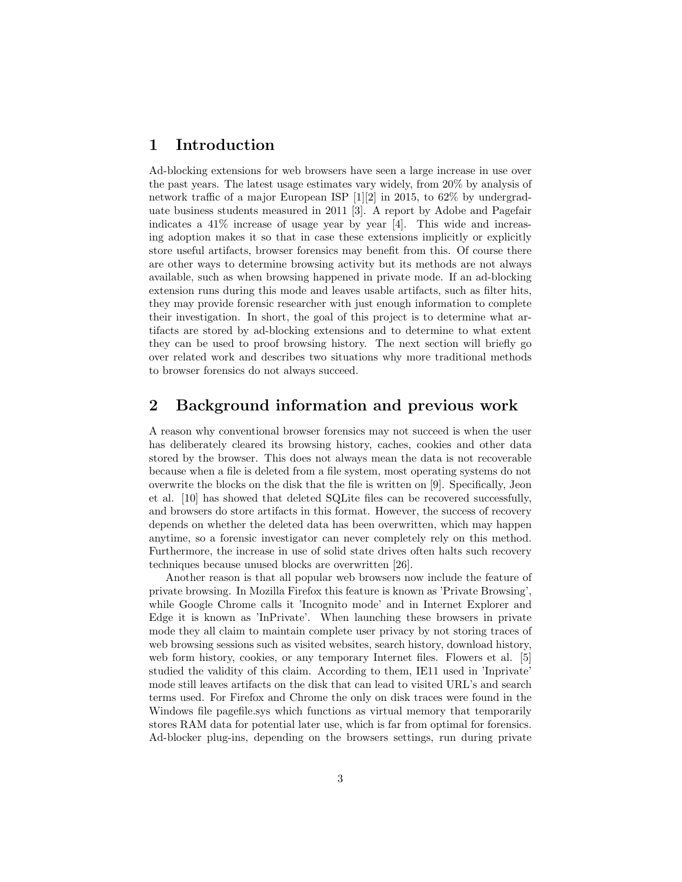## 1 Introduction

Ad-blocking extensions for web browsers have seen a large increase in use over the past years. The latest usage estimates vary widely, from 20% by analysis of network traffic of a major European ISP [1][2] in 2015, to 62% by undergraduate business students measured in 2011 [3]. A report by Adobe and Pagefair indicates a 41% increase of usage year by year [4]. This wide and increasing adoption makes it so that in case these extensions implicitly or explicitly store useful artifacts, browser forensics may benefit from this. Of course there are other ways to determine browsing activity but its methods are not always available, such as when browsing happened in private mode. If an ad-blocking extension runs during this mode and leaves usable artifacts, such as filter hits, they may provide forensic researcher with just enough information to complete their investigation. In short, the goal of this project is to determine what artifacts are stored by ad-blocking extensions and to determine to what extent they can be used to proof browsing history. The next section will briefly go over related work and describes two situations why more traditional methods to browser forensics do not always succeed.

# 2 Background information and previous work

A reason why conventional browser forensics may not succeed is when the user has deliberately cleared its browsing history, caches, cookies and other data stored by the browser. This does not always mean the data is not recoverable because when a file is deleted from a file system, most operating systems do not overwrite the blocks on the disk that the file is written on [9]. Specifically, Jeon et al. [10] has showed that deleted SQLite files can be recovered successfully, and browsers do store artifacts in this format. However, the success of recovery depends on whether the deleted data has been overwritten, which may happen anytime, so a forensic investigator can never completely rely on this method. Furthermore, the increase in use of solid state drives often halts such recovery techniques because unused blocks are overwritten [26].

Another reason is that all popular web browsers now include the feature of private browsing. In Mozilla Firefox this feature is known as 'Private Browsing', while Google Chrome calls it 'Incognito mode' and in Internet Explorer and Edge it is known as 'InPrivate'. When launching these browsers in private mode they all claim to maintain complete user privacy by not storing traces of web browsing sessions such as visited websites, search history, download history, web form history, cookies, or any temporary Internet files. Flowers et al. [5] studied the validity of this claim. According to them, IE11 used in 'Inprivate' mode still leaves artifacts on the disk that can lead to visited URL's and search terms used. For Firefox and Chrome the only on disk traces were found in the Windows file pagefile.sys which functions as virtual memory that temporarily stores RAM data for potential later use, which is far from optimal for forensics. Ad-blocker plug-ins, depending on the browsers settings, run during private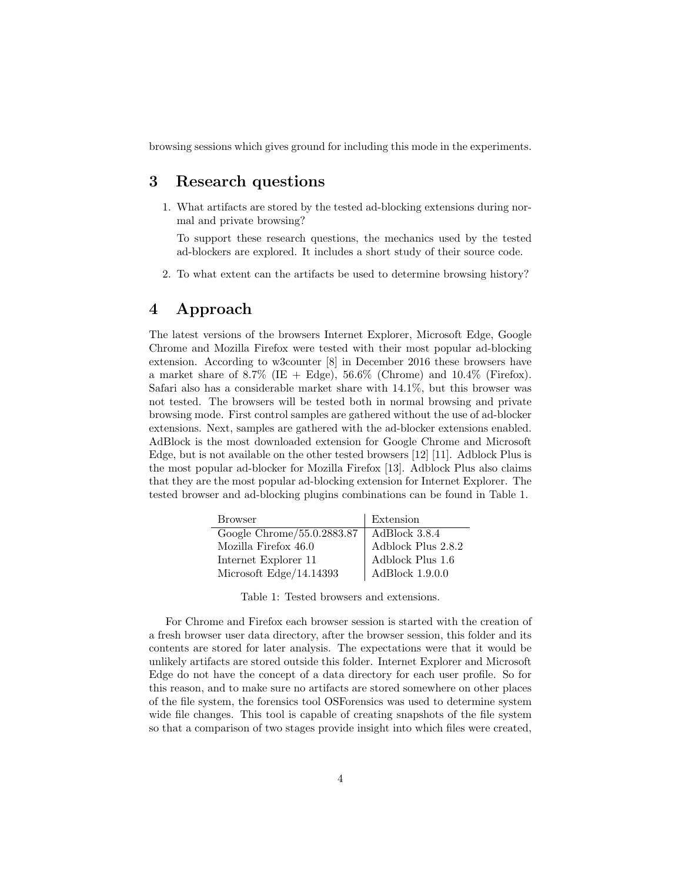browsing sessions which gives ground for including this mode in the experiments.

# 3 Research questions

1. What artifacts are stored by the tested ad-blocking extensions during normal and private browsing?

To support these research questions, the mechanics used by the tested ad-blockers are explored. It includes a short study of their source code.

2. To what extent can the artifacts be used to determine browsing history?

## 4 Approach

The latest versions of the browsers Internet Explorer, Microsoft Edge, Google Chrome and Mozilla Firefox were tested with their most popular ad-blocking extension. According to w3counter [8] in December 2016 these browsers have a market share of 8.7% (IE + Edge),  $56.6\%$  (Chrome) and  $10.4\%$  (Firefox). Safari also has a considerable market share with 14.1%, but this browser was not tested. The browsers will be tested both in normal browsing and private browsing mode. First control samples are gathered without the use of ad-blocker extensions. Next, samples are gathered with the ad-blocker extensions enabled. AdBlock is the most downloaded extension for Google Chrome and Microsoft Edge, but is not available on the other tested browsers [12] [11]. Adblock Plus is the most popular ad-blocker for Mozilla Firefox [13]. Adblock Plus also claims that they are the most popular ad-blocking extension for Internet Explorer. The tested browser and ad-blocking plugins combinations can be found in Table 1.

| <b>Browser</b>             | Extension          |
|----------------------------|--------------------|
| Google Chrome/55.0.2883.87 | AdBlock 3.8.4      |
| Mozilla Firefox 46.0       | Adblock Plus 2.8.2 |
| Internet Explorer 11       | Adblock Plus 1.6   |
| Microsoft Edge/14.14393    | $AdBlock$ 1.9.0.0  |

Table 1: Tested browsers and extensions.

For Chrome and Firefox each browser session is started with the creation of a fresh browser user data directory, after the browser session, this folder and its contents are stored for later analysis. The expectations were that it would be unlikely artifacts are stored outside this folder. Internet Explorer and Microsoft Edge do not have the concept of a data directory for each user profile. So for this reason, and to make sure no artifacts are stored somewhere on other places of the file system, the forensics tool OSForensics was used to determine system wide file changes. This tool is capable of creating snapshots of the file system so that a comparison of two stages provide insight into which files were created,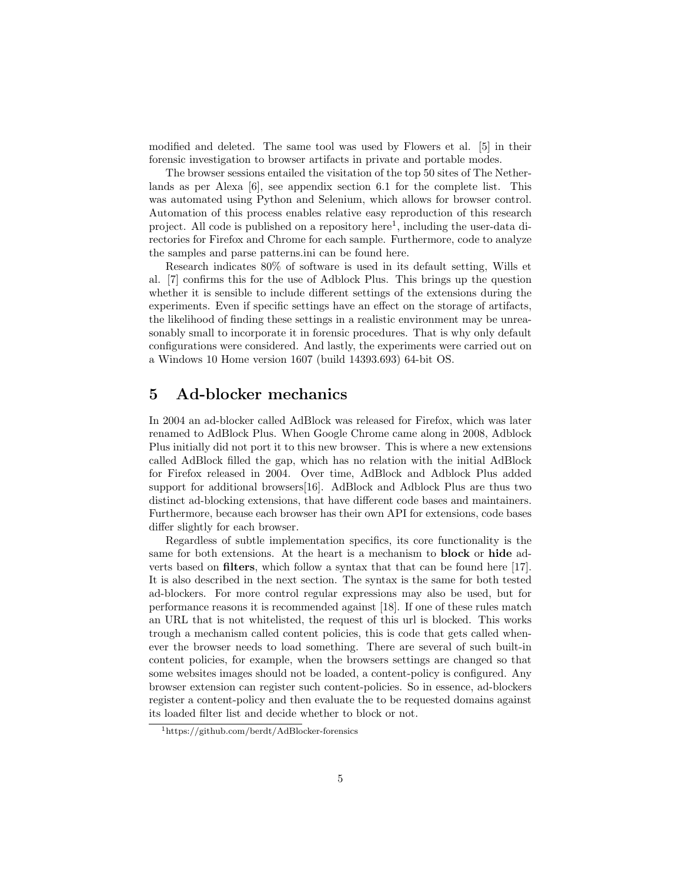modified and deleted. The same tool was used by Flowers et al. [5] in their forensic investigation to browser artifacts in private and portable modes.

The browser sessions entailed the visitation of the top 50 sites of The Netherlands as per Alexa [6], see appendix section 6.1 for the complete list. This was automated using Python and Selenium, which allows for browser control. Automation of this process enables relative easy reproduction of this research project. All code is published on a repository here<sup>1</sup>, including the user-data directories for Firefox and Chrome for each sample. Furthermore, code to analyze the samples and parse patterns.ini can be found here.

Research indicates 80% of software is used in its default setting, Wills et al. [7] confirms this for the use of Adblock Plus. This brings up the question whether it is sensible to include different settings of the extensions during the experiments. Even if specific settings have an effect on the storage of artifacts, the likelihood of finding these settings in a realistic environment may be unreasonably small to incorporate it in forensic procedures. That is why only default configurations were considered. And lastly, the experiments were carried out on a Windows 10 Home version 1607 (build 14393.693) 64-bit OS.

## 5 Ad-blocker mechanics

In 2004 an ad-blocker called AdBlock was released for Firefox, which was later renamed to AdBlock Plus. When Google Chrome came along in 2008, Adblock Plus initially did not port it to this new browser. This is where a new extensions called AdBlock filled the gap, which has no relation with the initial AdBlock for Firefox released in 2004. Over time, AdBlock and Adblock Plus added support for additional browsers[16]. AdBlock and Adblock Plus are thus two distinct ad-blocking extensions, that have different code bases and maintainers. Furthermore, because each browser has their own API for extensions, code bases differ slightly for each browser.

Regardless of subtle implementation specifics, its core functionality is the same for both extensions. At the heart is a mechanism to block or hide adverts based on filters, which follow a syntax that that can be found here [17]. It is also described in the next section. The syntax is the same for both tested ad-blockers. For more control regular expressions may also be used, but for performance reasons it is recommended against [18]. If one of these rules match an URL that is not whitelisted, the request of this url is blocked. This works trough a mechanism called content policies, this is code that gets called whenever the browser needs to load something. There are several of such built-in content policies, for example, when the browsers settings are changed so that some websites images should not be loaded, a content-policy is configured. Any browser extension can register such content-policies. So in essence, ad-blockers register a content-policy and then evaluate the to be requested domains against its loaded filter list and decide whether to block or not.

<sup>1</sup>https://github.com/berdt/AdBlocker-forensics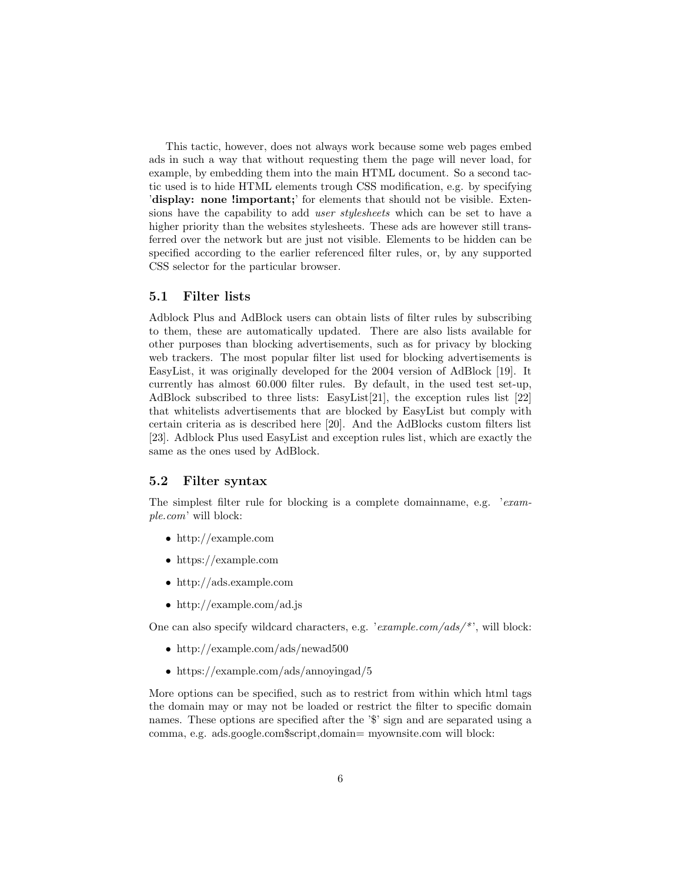This tactic, however, does not always work because some web pages embed ads in such a way that without requesting them the page will never load, for example, by embedding them into the main HTML document. So a second tactic used is to hide HTML elements trough CSS modification, e.g. by specifying 'display: none !important;' for elements that should not be visible. Extensions have the capability to add user stylesheets which can be set to have a higher priority than the websites stylesheets. These ads are however still transferred over the network but are just not visible. Elements to be hidden can be specified according to the earlier referenced filter rules, or, by any supported CSS selector for the particular browser.

#### 5.1 Filter lists

Adblock Plus and AdBlock users can obtain lists of filter rules by subscribing to them, these are automatically updated. There are also lists available for other purposes than blocking advertisements, such as for privacy by blocking web trackers. The most popular filter list used for blocking advertisements is EasyList, it was originally developed for the 2004 version of AdBlock [19]. It currently has almost 60.000 filter rules. By default, in the used test set-up, AdBlock subscribed to three lists: EasyList[21], the exception rules list [22] that whitelists advertisements that are blocked by EasyList but comply with certain criteria as is described here [20]. And the AdBlocks custom filters list [23]. Adblock Plus used EasyList and exception rules list, which are exactly the same as the ones used by AdBlock.

#### 5.2 Filter syntax

The simplest filter rule for blocking is a complete domainname, e.g. 'example.com' will block:

- http://example.com
- https://example.com
- http://ads.example.com
- http://example.com/ad.js

One can also specify wildcard characters, e.g. 'example.com/ads/\*', will block:

- http://example.com/ads/newad500
- https://example.com/ads/annoyingad/5

More options can be specified, such as to restrict from within which html tags the domain may or may not be loaded or restrict the filter to specific domain names. These options are specified after the '\$' sign and are separated using a comma, e.g. ads.google.com\$script,domain= myownsite.com will block: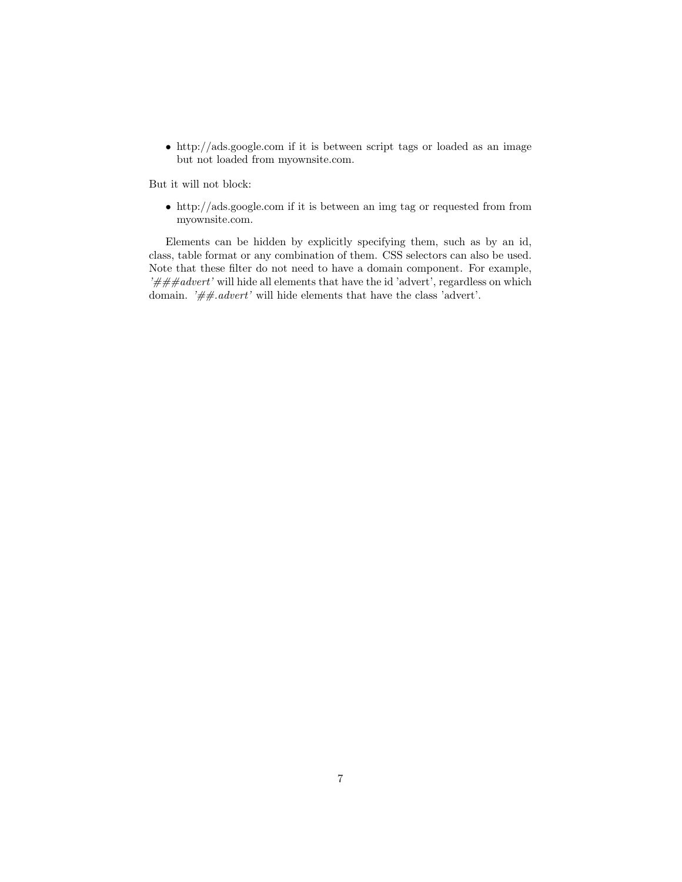• http://ads.google.com if it is between script tags or loaded as an image but not loaded from myownsite.com.

But it will not block:

• http://ads.google.com if it is between an img tag or requested from from myownsite.com.

Elements can be hidden by explicitly specifying them, such as by an id, class, table format or any combination of them. CSS selectors can also be used. Note that these filter do not need to have a domain component. For example, ' $##4$  dvert' will hide all elements that have the id 'advert', regardless on which domain. ' $\# \# . a dvert'$ ' will hide elements that have the class 'advert'.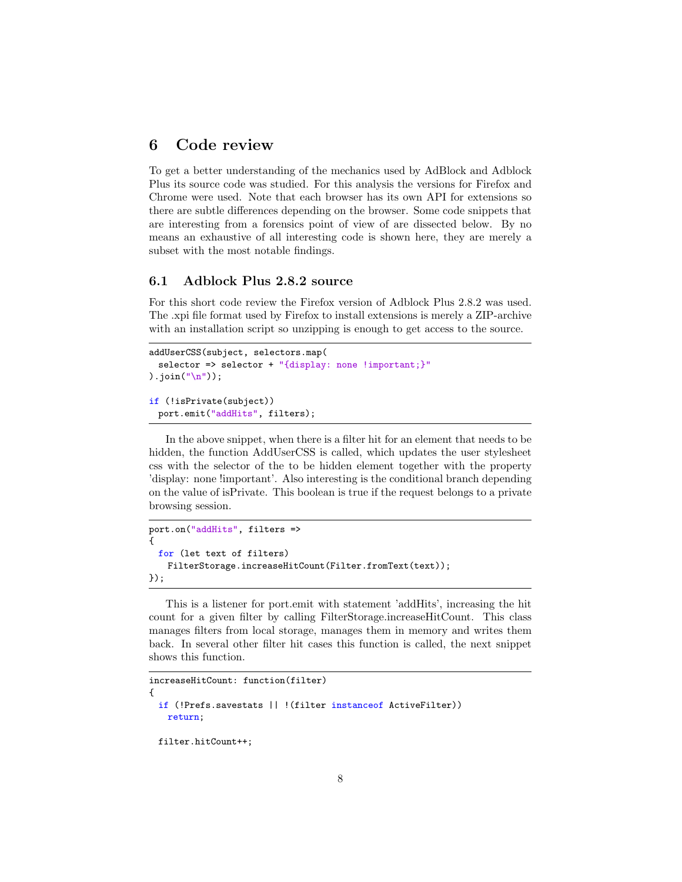## 6 Code review

To get a better understanding of the mechanics used by AdBlock and Adblock Plus its source code was studied. For this analysis the versions for Firefox and Chrome were used. Note that each browser has its own API for extensions so there are subtle differences depending on the browser. Some code snippets that are interesting from a forensics point of view of are dissected below. By no means an exhaustive of all interesting code is shown here, they are merely a subset with the most notable findings.

#### 6.1 Adblock Plus 2.8.2 source

For this short code review the Firefox version of Adblock Plus 2.8.2 was used. The .xpi file format used by Firefox to install extensions is merely a ZIP-archive with an installation script so unzipping is enough to get access to the source.

```
addUserCSS(subject, selectors.map(
  selector => selector + "{display: none !important;}"
),join("n");
if (!isPrivate(subject))
 port.emit("addHits", filters);
```
In the above snippet, when there is a filter hit for an element that needs to be hidden, the function AddUserCSS is called, which updates the user stylesheet css with the selector of the to be hidden element together with the property 'display: none !important'. Also interesting is the conditional branch depending on the value of isPrivate. This boolean is true if the request belongs to a private browsing session.

```
port.on("addHits", filters =>
\overline{f}for (let text of filters)
   FilterStorage.increaseHitCount(Filter.fromText(text));
});
```
This is a listener for port.emit with statement 'addHits', increasing the hit count for a given filter by calling FilterStorage.increaseHitCount. This class manages filters from local storage, manages them in memory and writes them back. In several other filter hit cases this function is called, the next snippet shows this function.

```
increaseHitCount: function(filter)
{
 if (!Prefs.savestats || !(filter instanceof ActiveFilter))
   return;
 filter.hitCount++;
```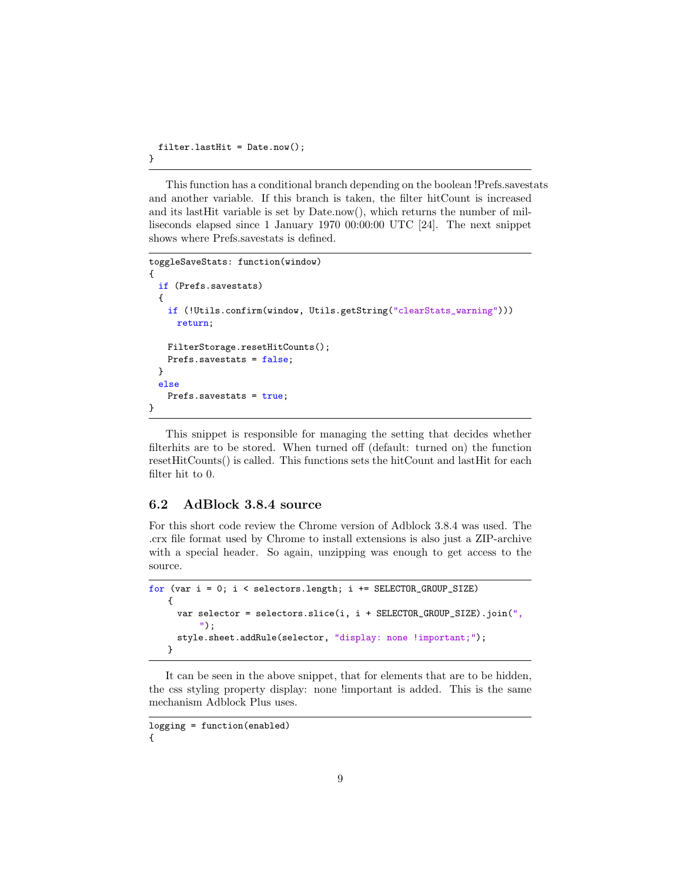```
filter.lastHit = Date.now();
}
```
This function has a conditional branch depending on the boolean !Prefs.savestats and another variable. If this branch is taken, the filter hitCount is increased and its lastHit variable is set by Date.now(), which returns the number of milliseconds elapsed since 1 January 1970 00:00:00 UTC [24]. The next snippet shows where Prefs.savestats is defined.

```
toggleSaveStats: function(window)
{
 if (Prefs.savestats)
 {
   if (!Utils.confirm(window, Utils.getString("clearStats_warning")))
     return;
   FilterStorage.resetHitCounts();
   Prefs.savestats = false;
 }
 else
   Prefs.savestats = true;
}
```
This snippet is responsible for managing the setting that decides whether filterhits are to be stored. When turned off (default: turned on) the function resetHitCounts() is called. This functions sets the hitCount and lastHit for each filter hit to 0.

#### 6.2 AdBlock 3.8.4 source

For this short code review the Chrome version of Adblock 3.8.4 was used. The .crx file format used by Chrome to install extensions is also just a ZIP-archive with a special header. So again, unzipping was enough to get access to the source.

```
for (var i = 0; i < selectors.length; i += SELECTOR_GROUP_SIZE)
   {
     var selector = selectors.slice(i, i + SELECTOR_GROUP_SIZE).join(",
          ");
     style.sheet.addRule(selector, "display: none !important;");
   }
```
It can be seen in the above snippet, that for elements that are to be hidden, the css styling property display: none !important is added. This is the same mechanism Adblock Plus uses.

logging = function(enabled) {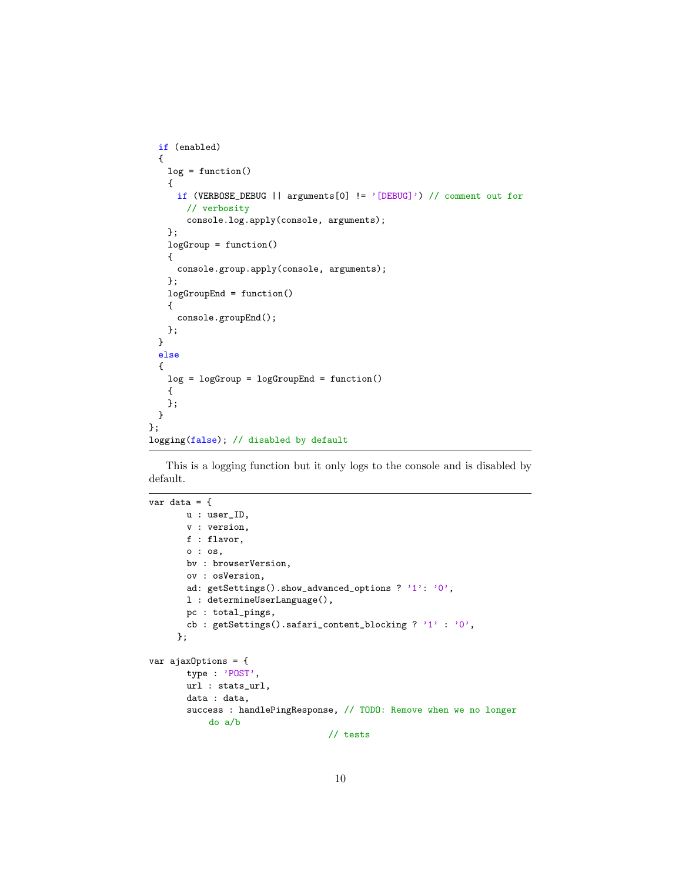```
if (enabled)
 {
   log = function()
   {
     if (VERBOSE_DEBUG || arguments[0] != '[DEBUG]') // comment out for
       // verbosity
       console.log.apply(console, arguments);
   };
   logGroup = function()
   {
     console.group.apply(console, arguments);
   };
   logGroupEnd = function()
   {
     console.groupEnd();
   };
 }
 else
 {
   log = logGroup = logGroupEnd = function(){
   };
 }
};
logging(false); // disabled by default
```
This is a logging function but it only logs to the console and is disabled by default.

```
var data = {
      u : user_ID,
       v : version,
       f : flavor,
       o : os,
       bv : browserVersion,
       ov : osVersion,
       ad: getSettings().show_advanced_options ? '1': '0',
       l : determineUserLanguage(),
       pc : total_pings,
       cb : getSettings().safari_content_blocking ? '1' : '0',
     };
var ajaxOptions = {
       type : 'POST',
       url : stats_url,
       data : data,
       success : handlePingResponse, // TODO: Remove when we no longer
           do a/b
                                   // tests
```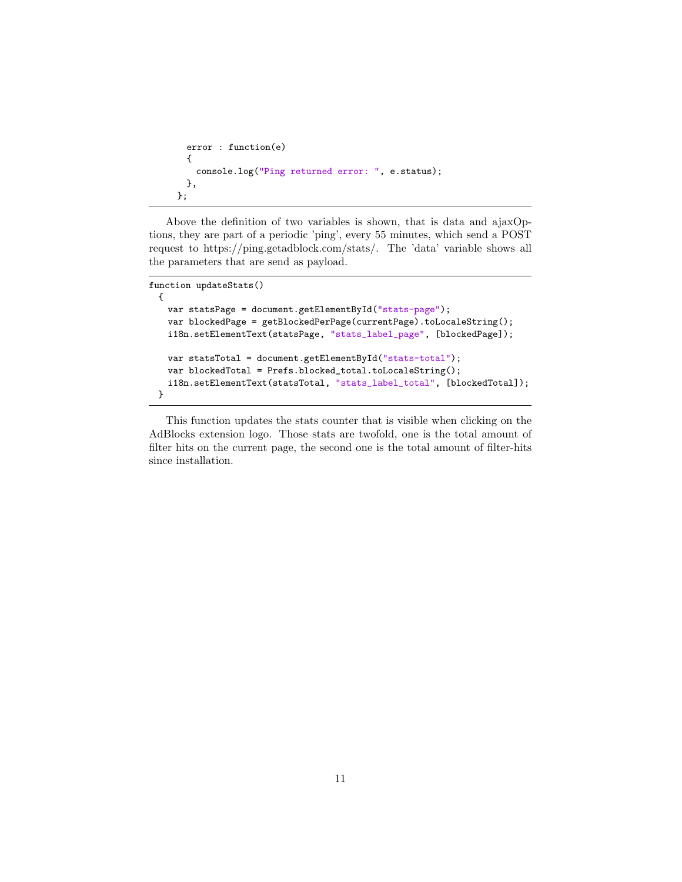```
error : function(e)
 {
   console.log("Ping returned error: ", e.status);
 },
};
```
Above the definition of two variables is shown, that is data and ajaxOptions, they are part of a periodic 'ping', every 55 minutes, which send a POST request to https://ping.getadblock.com/stats/. The 'data' variable shows all the parameters that are send as payload.

```
function updateStats()
 {
   var statsPage = document.getElementById("stats-page");
   var blockedPage = getBlockedPerPage(currentPage).toLocaleString();
   i18n.setElementText(statsPage, "stats_label_page", [blockedPage]);
   var statsTotal = document.getElementById("stats-total");
   var blockedTotal = Prefs.blocked_total.toLocaleString();
   i18n.setElementText(statsTotal, "stats_label_total", [blockedTotal]);
 }
```
This function updates the stats counter that is visible when clicking on the AdBlocks extension logo. Those stats are twofold, one is the total amount of filter hits on the current page, the second one is the total amount of filter-hits since installation.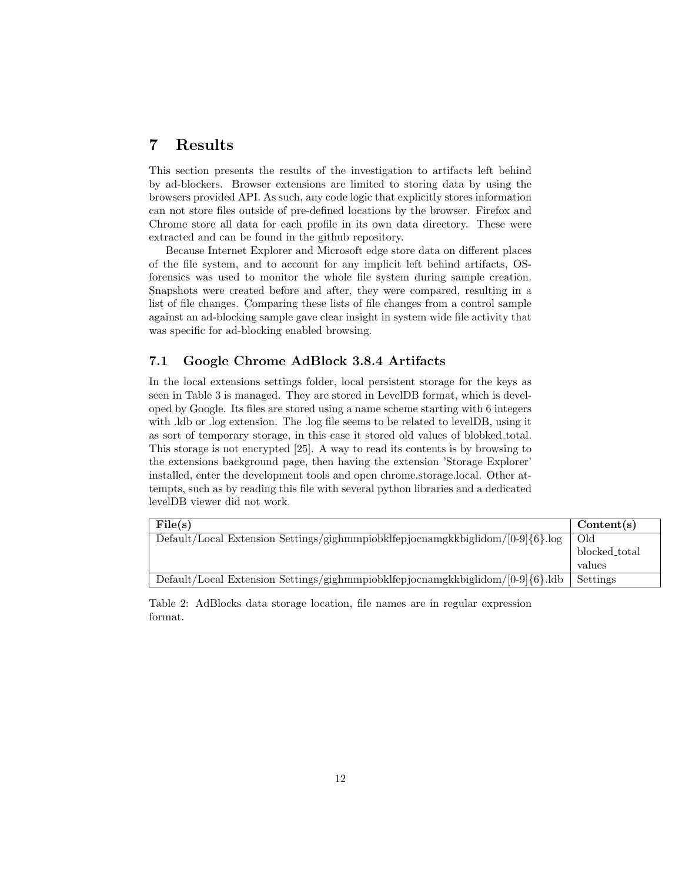## 7 Results

This section presents the results of the investigation to artifacts left behind by ad-blockers. Browser extensions are limited to storing data by using the browsers provided API. As such, any code logic that explicitly stores information can not store files outside of pre-defined locations by the browser. Firefox and Chrome store all data for each profile in its own data directory. These were extracted and can be found in the github repository.

Because Internet Explorer and Microsoft edge store data on different places of the file system, and to account for any implicit left behind artifacts, OSforensics was used to monitor the whole file system during sample creation. Snapshots were created before and after, they were compared, resulting in a list of file changes. Comparing these lists of file changes from a control sample against an ad-blocking sample gave clear insight in system wide file activity that was specific for ad-blocking enabled browsing.

#### 7.1 Google Chrome AdBlock 3.8.4 Artifacts

In the local extensions settings folder, local persistent storage for the keys as seen in Table 3 is managed. They are stored in LevelDB format, which is developed by Google. Its files are stored using a name scheme starting with 6 integers with .ldb or .log extension. The .log file seems to be related to levelDB, using it as sort of temporary storage, in this case it stored old values of blobked total. This storage is not encrypted [25]. A way to read its contents is by browsing to the extensions background page, then having the extension 'Storage Explorer' installed, enter the development tools and open chrome.storage.local. Other attempts, such as by reading this file with several python libraries and a dedicated levelDB viewer did not work.

| File(s)                                                                            | Content(s)    |
|------------------------------------------------------------------------------------|---------------|
| Default/Local Extension Settings/gighmmpiobklfepjocnamgkkbiglidom/ $[0-9]$ {6}.log | Old           |
|                                                                                    | blocked_total |
|                                                                                    | values        |
| Default/Local Extension Settings/gighmmpiobklfepjocnamgkkbiglidom/ $[0-9]$ {6}.ldb | Settings      |

Table 2: AdBlocks data storage location, file names are in regular expression format.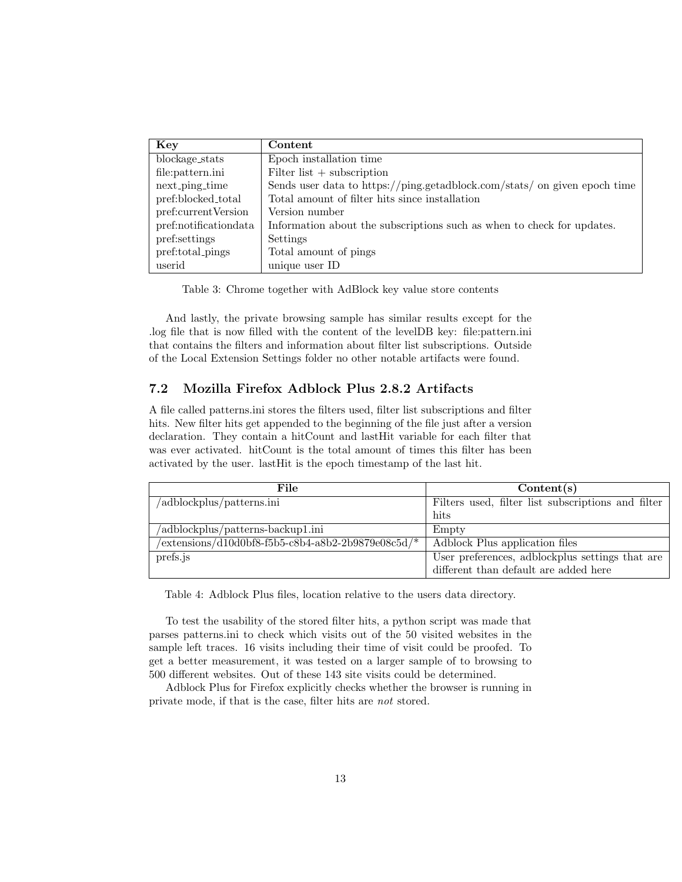| Key                   | Content                                                                   |
|-----------------------|---------------------------------------------------------------------------|
| blockage_stats        | Epoch installation time                                                   |
| file:pattern.ini      | $Filter list + subscription$                                              |
| next_ping_time        | Sends user data to https://ping.getadblock.com/stats/ on given epoch time |
| pref:blocked_total    | Total amount of filter hits since installation                            |
| pref:currentVersion   | Version number                                                            |
| pref:notificationdata | Information about the subscriptions such as when to check for updates.    |
| pref:settings         | Settings                                                                  |
| pref:total_pings      | Total amount of pings                                                     |
| userid                | unique user ID                                                            |

Table 3: Chrome together with AdBlock key value store contents

And lastly, the private browsing sample has similar results except for the .log file that is now filled with the content of the levelDB key: file:pattern.ini that contains the filters and information about filter list subscriptions. Outside of the Local Extension Settings folder no other notable artifacts were found.

#### 7.2 Mozilla Firefox Adblock Plus 2.8.2 Artifacts

A file called patterns.ini stores the filters used, filter list subscriptions and filter hits. New filter hits get appended to the beginning of the file just after a version declaration. They contain a hitCount and lastHit variable for each filter that was ever activated. hitCount is the total amount of times this filter has been activated by the user. lastHit is the epoch timestamp of the last hit.

| File                                                  | Content(s)                                         |
|-------------------------------------------------------|----------------------------------------------------|
| /adblockplus/patterns.ini                             | Filters used, filter list subscriptions and filter |
|                                                       | hits                                               |
| /adblockplus/patterns-backup1.ini                     | Empty                                              |
| $/$ extensions/d10d0bf8-f5b5-c8b4-a8b2-2b9879e08c5d/* | Adblock Plus application files                     |
| prefs.js                                              | User preferences, adblockplus settings that are    |
|                                                       | different than default are added here              |

Table 4: Adblock Plus files, location relative to the users data directory.

To test the usability of the stored filter hits, a python script was made that parses patterns.ini to check which visits out of the 50 visited websites in the sample left traces. 16 visits including their time of visit could be proofed. To get a better measurement, it was tested on a larger sample of to browsing to 500 different websites. Out of these 143 site visits could be determined.

Adblock Plus for Firefox explicitly checks whether the browser is running in private mode, if that is the case, filter hits are not stored.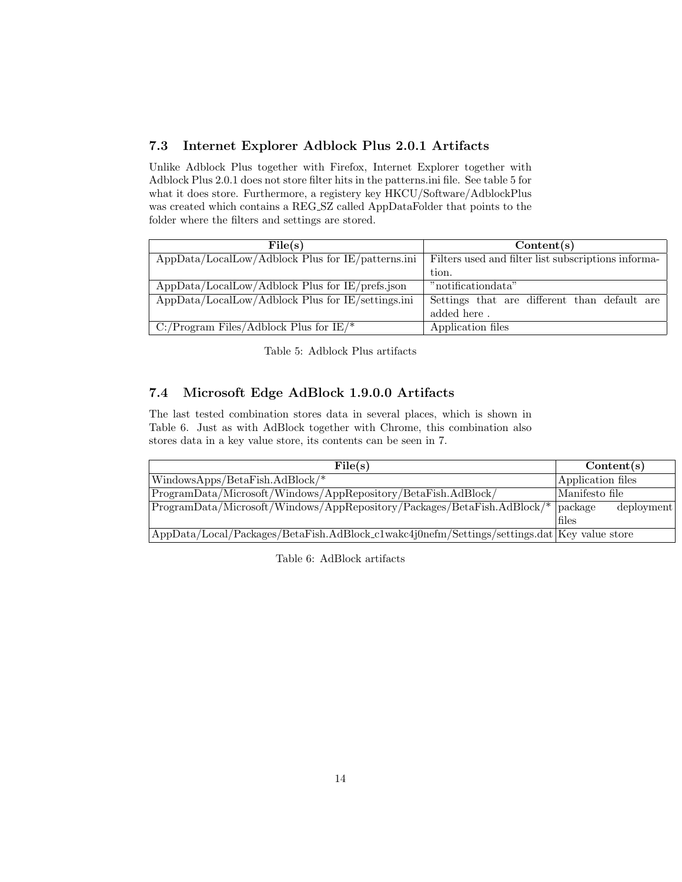## 7.3 Internet Explorer Adblock Plus 2.0.1 Artifacts

Unlike Adblock Plus together with Firefox, Internet Explorer together with Adblock Plus 2.0.1 does not store filter hits in the patterns.ini file. See table 5 for what it does store. Furthermore, a registery key HKCU/Software/AdblockPlus was created which contains a REG SZ called AppDataFolder that points to the folder where the filters and settings are stored.

| File(s)                                            | Content(s)                                          |
|----------------------------------------------------|-----------------------------------------------------|
| AppData/LocalLow/Adblock Plus for IE/patterns.ini  | Filters used and filter list subscriptions informa- |
|                                                    | tion.                                               |
| $AppData/LocalLow/Adblock Plus for IE/prefs.$ json | "notification data"                                 |
| AppData/LocalLow/Adblock Plus for IE/settings.ini  | Settings that are different than default are        |
|                                                    | added here.                                         |
| C:/Program Files/Adblock Plus for $IE$ /*          | Application files                                   |

Table 5: Adblock Plus artifacts

## 7.4 Microsoft Edge AdBlock 1.9.0.0 Artifacts

The last tested combination stores data in several places, which is shown in Table 6. Just as with AdBlock together with Chrome, this combination also stores data in a key value store, its contents can be seen in 7.

| File(s)                                                                                                              | Content(s)            |
|----------------------------------------------------------------------------------------------------------------------|-----------------------|
| WindowsApps/BetaFish.AdBlock/*                                                                                       | Application files     |
| ProgramData/Microsoft/Windows/AppRepository/BetaFish.AdBlock/                                                        | Manifesto file        |
| ProgramData/Microsoft/Windows/AppRepository/Packages/BetaFish.AdBlock/*                                              | package<br>deployment |
|                                                                                                                      | files                 |
| $\rm{AppData}/\rm{Local}/\rm{Packages}/\rm{BetaFish}.$ AdBlock_c1wakc4j0nefm/Settings/settings.dat   Key value store |                       |

Table 6: AdBlock artifacts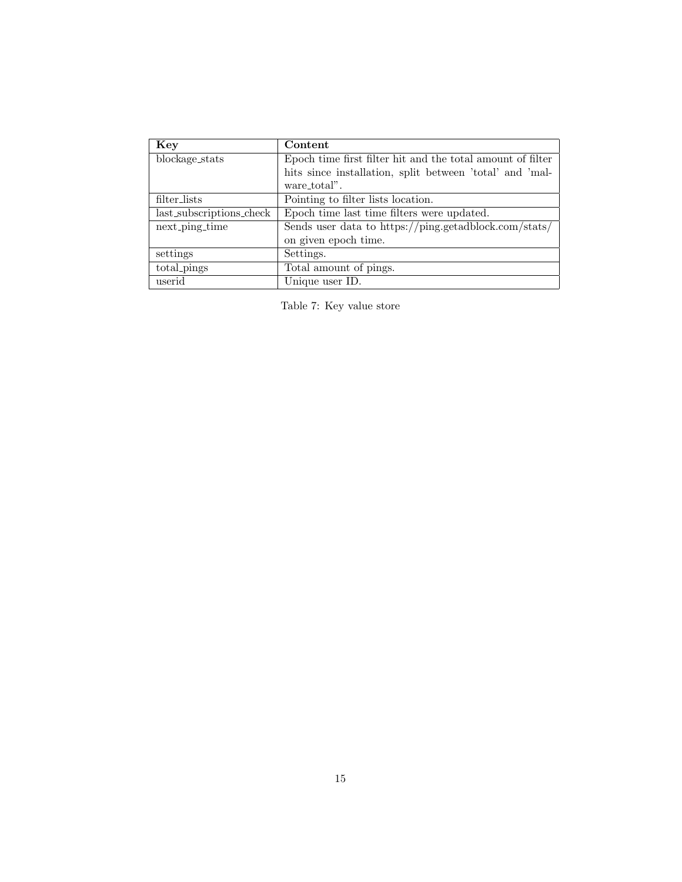| Key                      | Content                                                    |
|--------------------------|------------------------------------------------------------|
| blockage_stats           | Epoch time first filter hit and the total amount of filter |
|                          | hits since installation, split between 'total' and 'mal-   |
|                          | ware_total".                                               |
| filter_lists             | Pointing to filter lists location.                         |
| last_subscriptions_check | Epoch time last time filters were updated.                 |
| next_ping_time           | Sends user data to https://ping.getadblock.com/stats/      |
|                          | on given epoch time.                                       |
| settings                 | Settings.                                                  |
| total_pings              | Total amount of pings.                                     |
| userid                   | Unique user ID.                                            |

Table 7: Key value store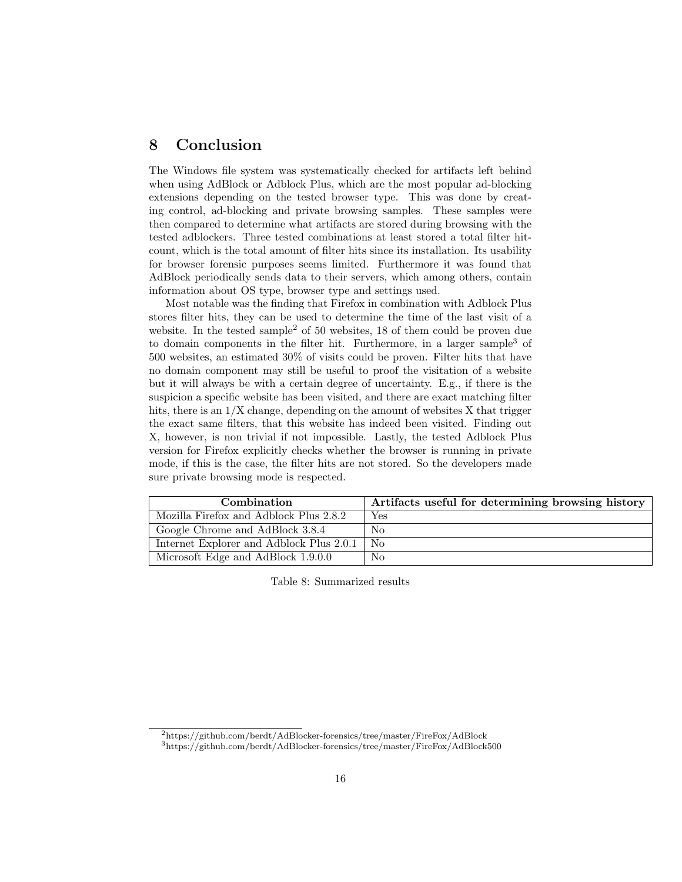## 8 Conclusion

The Windows file system was systematically checked for artifacts left behind when using AdBlock or Adblock Plus, which are the most popular ad-blocking extensions depending on the tested browser type. This was done by creating control, ad-blocking and private browsing samples. These samples were then compared to determine what artifacts are stored during browsing with the tested adblockers. Three tested combinations at least stored a total filter hitcount, which is the total amount of filter hits since its installation. Its usability for browser forensic purposes seems limited. Furthermore it was found that AdBlock periodically sends data to their servers, which among others, contain information about OS type, browser type and settings used.

Most notable was the finding that Firefox in combination with Adblock Plus stores filter hits, they can be used to determine the time of the last visit of a website. In the tested sample<sup>2</sup> of 50 websites, 18 of them could be proven due to domain components in the filter hit. Furthermore, in a larger sample<sup>3</sup> of 500 websites, an estimated 30% of visits could be proven. Filter hits that have no domain component may still be useful to proof the visitation of a website but it will always be with a certain degree of uncertainty. E.g., if there is the suspicion a specific website has been visited, and there are exact matching filter hits, there is an  $1/X$  change, depending on the amount of websites  $X$  that trigger the exact same filters, that this website has indeed been visited. Finding out X, however, is non trivial if not impossible. Lastly, the tested Adblock Plus version for Firefox explicitly checks whether the browser is running in private mode, if this is the case, the filter hits are not stored. So the developers made sure private browsing mode is respected.

| Combination                              | Artifacts useful for determining browsing history |
|------------------------------------------|---------------------------------------------------|
| Mozilla Firefox and Adblock Plus 2.8.2   | Yes                                               |
| Google Chrome and AdBlock 3.8.4          | No                                                |
| Internet Explorer and Adblock Plus 2.0.1 | No                                                |
| Microsoft Edge and AdBlock 1.9.0.0       | No                                                |

Table 8: Summarized results

<sup>2</sup>https://github.com/berdt/AdBlocker-forensics/tree/master/FireFox/AdBlock

 $3$ https://github.com/berdt/AdBlocker-forensics/tree/master/FireFox/AdBlock500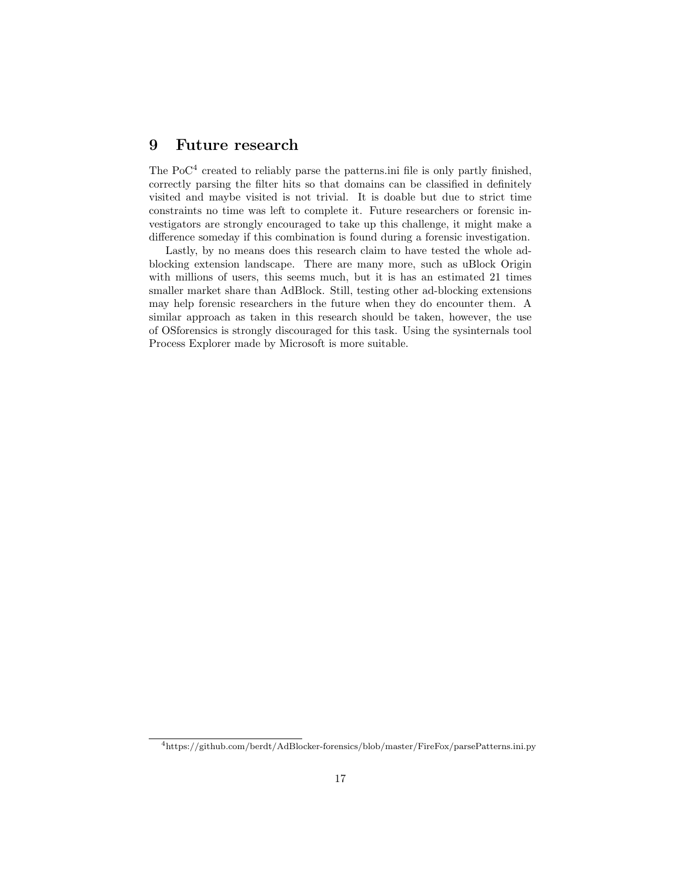## 9 Future research

The  $PoC<sup>4</sup>$  created to reliably parse the patterns.ini file is only partly finished, correctly parsing the filter hits so that domains can be classified in definitely visited and maybe visited is not trivial. It is doable but due to strict time constraints no time was left to complete it. Future researchers or forensic investigators are strongly encouraged to take up this challenge, it might make a difference someday if this combination is found during a forensic investigation.

Lastly, by no means does this research claim to have tested the whole adblocking extension landscape. There are many more, such as uBlock Origin with millions of users, this seems much, but it is has an estimated 21 times smaller market share than AdBlock. Still, testing other ad-blocking extensions may help forensic researchers in the future when they do encounter them. A similar approach as taken in this research should be taken, however, the use of OSforensics is strongly discouraged for this task. Using the sysinternals tool Process Explorer made by Microsoft is more suitable.

<sup>4</sup>https://github.com/berdt/AdBlocker-forensics/blob/master/FireFox/parsePatterns.ini.py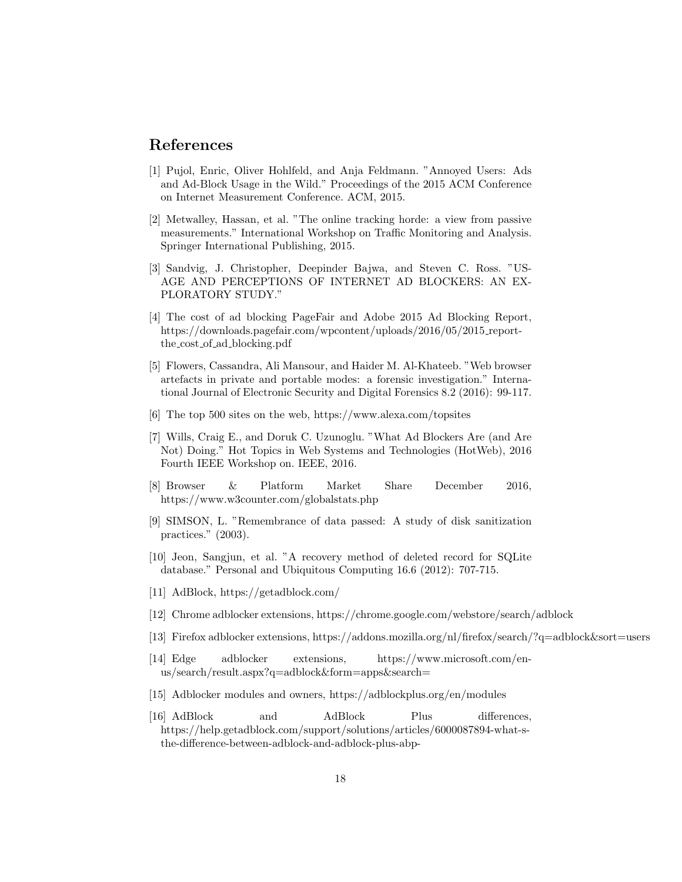## References

- [1] Pujol, Enric, Oliver Hohlfeld, and Anja Feldmann. "Annoyed Users: Ads and Ad-Block Usage in the Wild." Proceedings of the 2015 ACM Conference on Internet Measurement Conference. ACM, 2015.
- [2] Metwalley, Hassan, et al. "The online tracking horde: a view from passive measurements." International Workshop on Traffic Monitoring and Analysis. Springer International Publishing, 2015.
- [3] Sandvig, J. Christopher, Deepinder Bajwa, and Steven C. Ross. "US-AGE AND PERCEPTIONS OF INTERNET AD BLOCKERS: AN EX-PLORATORY STUDY."
- [4] The cost of ad blocking PageFair and Adobe 2015 Ad Blocking Report, https://downloads.pagefair.com/wpcontent/uploads/2016/05/2015 reportthe cost of ad blocking.pdf
- [5] Flowers, Cassandra, Ali Mansour, and Haider M. Al-Khateeb. "Web browser artefacts in private and portable modes: a forensic investigation." International Journal of Electronic Security and Digital Forensics 8.2 (2016): 99-117.
- [6] The top 500 sites on the web, https://www.alexa.com/topsites
- [7] Wills, Craig E., and Doruk C. Uzunoglu. "What Ad Blockers Are (and Are Not) Doing." Hot Topics in Web Systems and Technologies (HotWeb), 2016 Fourth IEEE Workshop on. IEEE, 2016.
- [8] Browser & Platform Market Share December 2016, https://www.w3counter.com/globalstats.php
- [9] SIMSON, L. "Remembrance of data passed: A study of disk sanitization practices." (2003).
- [10] Jeon, Sangjun, et al. "A recovery method of deleted record for SQLite database." Personal and Ubiquitous Computing 16.6 (2012): 707-715.
- [11] AdBlock, https://getadblock.com/
- [12] Chrome adblocker extensions, https://chrome.google.com/webstore/search/adblock
- [13] Firefox adblocker extensions, https://addons.mozilla.org/nl/firefox/search/?q=adblock&sort=users
- [14] Edge adblocker extensions, https://www.microsoft.com/enus/search/result.aspx?q=adblock&form=apps&search=
- [15] Adblocker modules and owners, https://adblockplus.org/en/modules
- [16] AdBlock and AdBlock Plus differences, https://help.getadblock.com/support/solutions/articles/6000087894-what-sthe-difference-between-adblock-and-adblock-plus-abp-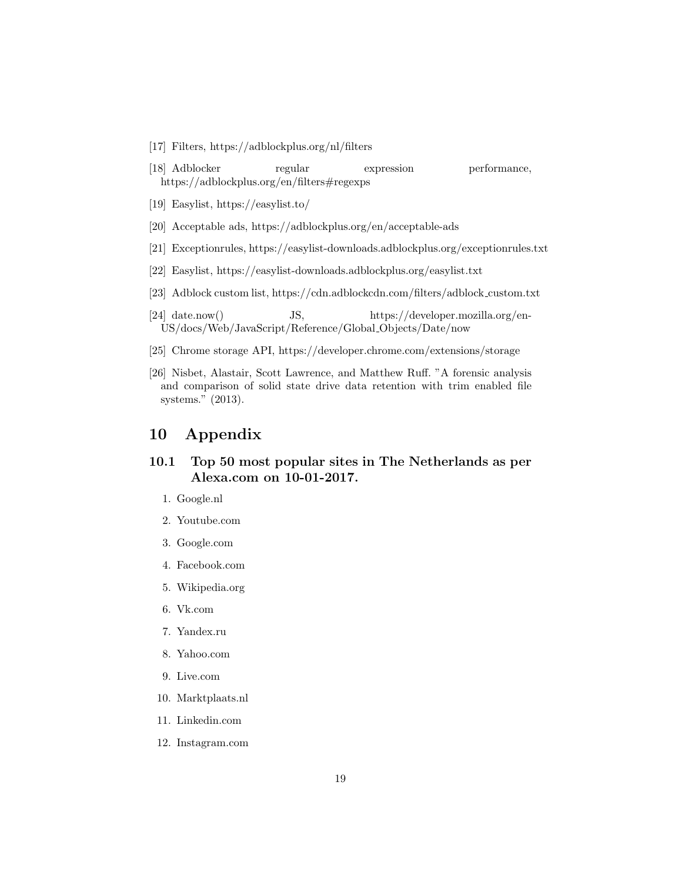- [17] Filters, https://adblockplus.org/nl/filters
- [18] Adblocker regular expression performance, https://adblockplus.org/en/filters#regexps
- [19] Easylist, https://easylist.to/
- [20] Acceptable ads, https://adblockplus.org/en/acceptable-ads
- [21] Exceptionrules, https://easylist-downloads.adblockplus.org/exceptionrules.txt
- [22] Easylist, https://easylist-downloads.adblockplus.org/easylist.txt
- [23] Adblock custom list, https://cdn.adblockcdn.com/filters/adblock custom.txt
- [24] date.now() JS, https://developer.mozilla.org/en-US/docs/Web/JavaScript/Reference/Global Objects/Date/now
- [25] Chrome storage API, https://developer.chrome.com/extensions/storage
- [26] Nisbet, Alastair, Scott Lawrence, and Matthew Ruff. "A forensic analysis and comparison of solid state drive data retention with trim enabled file systems." (2013).

# 10 Appendix

### 10.1 Top 50 most popular sites in The Netherlands as per Alexa.com on 10-01-2017.

- 1. Google.nl
- 2. Youtube.com
- 3. Google.com
- 4. Facebook.com
- 5. Wikipedia.org
- 6. Vk.com
- 7. Yandex.ru
- 8. Yahoo.com
- 9. Live.com
- 10. Marktplaats.nl
- 11. Linkedin.com
- 12. Instagram.com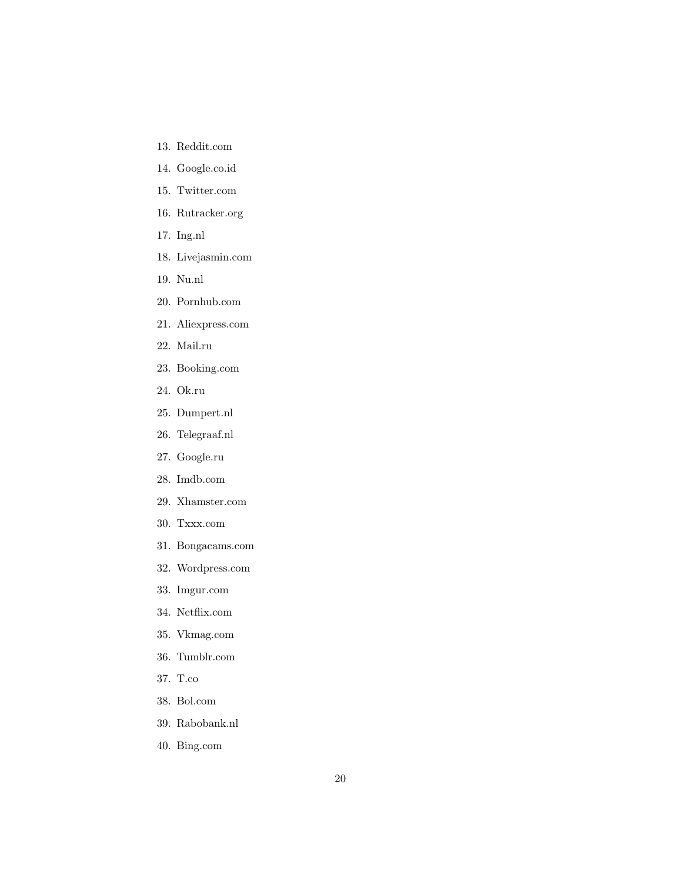- 13. Reddit.com
- 14. Google.co.id
- 15. Twitter.com
- 16. Rutracker.org
- 17. Ing.nl
- 18. Livejasmin.com
- 19. Nu.nl
- 20. Pornhub.com
- 21. Aliexpress.com
- 22. Mail.ru
- 23. Booking.com
- 24. Ok.ru
- 25. Dumpert.nl
- 26. Telegraaf.nl
- 27. Google.ru
- 28. Imdb.com
- 29. Xhamster.com
- 30. Txxx.com
- 31. Bongacams.com
- 32. Wordpress.com
- 33. Imgur.com
- 34. Netflix.com
- 35. Vkmag.com
- 36. Tumblr.com
- 37. T.co
- 38. Bol.com
- 39. Rabobank.nl
- 40. Bing.com